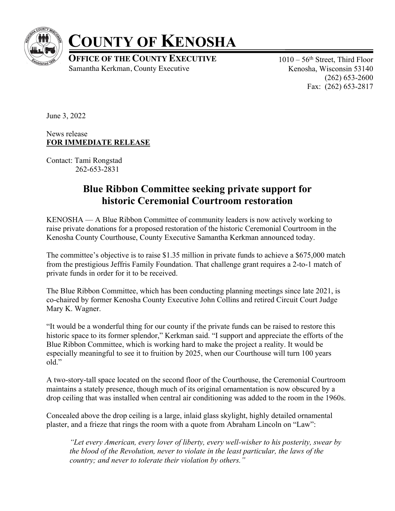

## **COUNTY OF KENOSHA**

**OFFICE OF THE COUNTY EXECUTIVE** Samantha Kerkman, County Executive

 $1010 - 56$ <sup>th</sup> Street, Third Floor Kenosha, Wisconsin 53140 (262) 653-2600 Fax: (262) 653-2817

June 3, 2022

News release **FOR IMMEDIATE RELEASE**

Contact: Tami Rongstad 262-653-2831

## **Blue Ribbon Committee seeking private support for historic Ceremonial Courtroom restoration**

KENOSHA — A Blue Ribbon Committee of community leaders is now actively working to raise private donations for a proposed restoration of the historic Ceremonial Courtroom in the Kenosha County Courthouse, County Executive Samantha Kerkman announced today.

The committee's objective is to raise \$1.35 million in private funds to achieve a \$675,000 match from the prestigious Jeffris Family Foundation. That challenge grant requires a 2-to-1 match of private funds in order for it to be received.

The Blue Ribbon Committee, which has been conducting planning meetings since late 2021, is co-chaired by former Kenosha County Executive John Collins and retired Circuit Court Judge Mary K. Wagner.

"It would be a wonderful thing for our county if the private funds can be raised to restore this historic space to its former splendor," Kerkman said. "I support and appreciate the efforts of the Blue Ribbon Committee, which is working hard to make the project a reality. It would be especially meaningful to see it to fruition by 2025, when our Courthouse will turn 100 years old."

A two-story-tall space located on the second floor of the Courthouse, the Ceremonial Courtroom maintains a stately presence, though much of its original ornamentation is now obscured by a drop ceiling that was installed when central air conditioning was added to the room in the 1960s.

Concealed above the drop ceiling is a large, inlaid glass skylight, highly detailed ornamental plaster, and a frieze that rings the room with a quote from Abraham Lincoln on "Law":

*"Let every American, every lover of liberty, every well-wisher to his posterity, swear by the blood of the Revolution, never to violate in the least particular, the laws of the country; and never to tolerate their violation by others."*